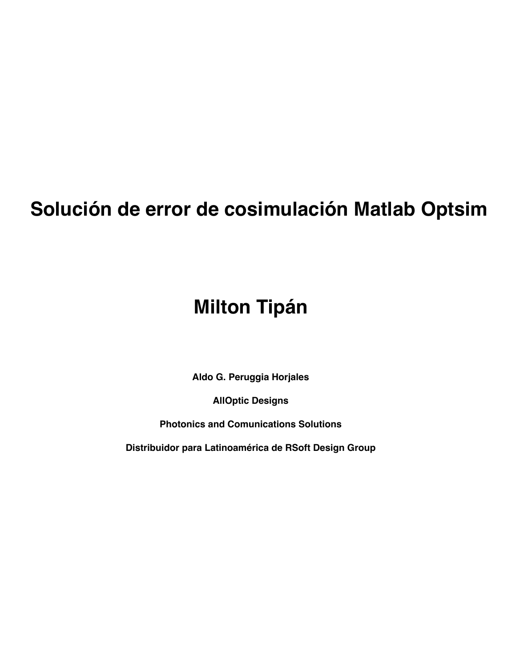# Solución de error de cosimulación Matlab Optsim

# **Milton Tipán**

Aldo G. Peruggia Horjales

**AllOptic Designs** 

**Photonics and Comunications Solutions** 

Distribuidor para Latinoamérica de RSoft Design Group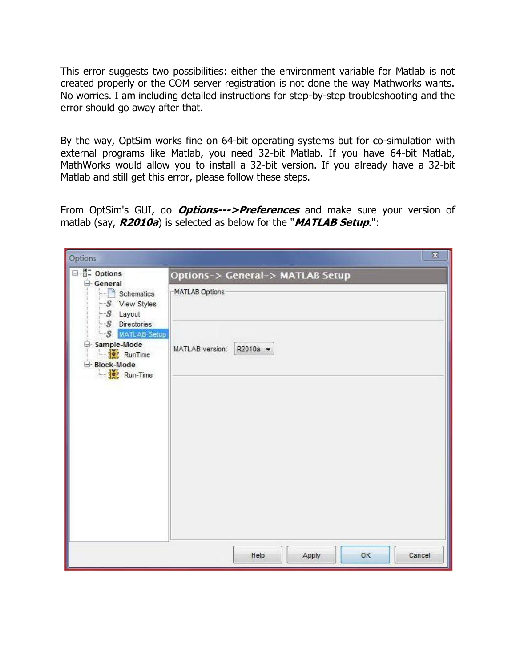This error suggests two possibilities: either the environment variable for Matlab is not created properly or the COM server registration is not done the way Mathworks wants. No worries. I am including detailed instructions for step-by-step troubleshooting and the error should go away after that.

By the way, OptSim works fine on 64-bit operating systems but for co-simulation with external programs like Matlab, you need 32-bit Matlab. If you have 64-bit Matlab, MathWorks would allow you to install a 32-bit version. If you already have a 32-bit Matlab and still get this error, please follow these steps.

From OptSim's GUI, do **Options--->Preferences** and make sure your version of matlab (say, **R2010a**) is selected as below for the "**MATLAB Setup**.":

| $\mathbf{x}$<br>Options                                                                                                                                         |                                  |
|-----------------------------------------------------------------------------------------------------------------------------------------------------------------|----------------------------------|
| □ B- Options<br>General<br>$S$ chematics<br>S View Styles<br>$S$ Layout<br>S Directories<br>-S MATLAB Setup<br>Sample-Mode<br>RunTime<br>Block-Mode<br>Run-Time | Options-> General-> MATLAB Setup |
|                                                                                                                                                                 | MATLAB Options                   |
|                                                                                                                                                                 | R2010a -<br>MATLAB version:      |
|                                                                                                                                                                 |                                  |
|                                                                                                                                                                 |                                  |
|                                                                                                                                                                 |                                  |
|                                                                                                                                                                 |                                  |
|                                                                                                                                                                 | Cancel<br>Help<br>OK<br>Apply    |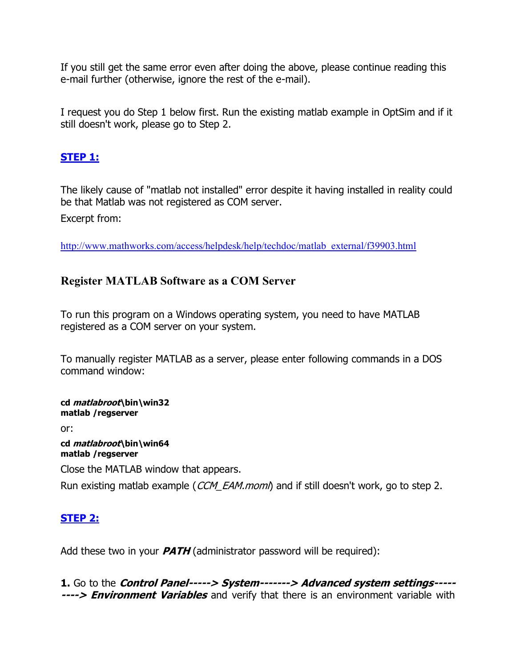If you still get the same error even after doing the above, please continue reading this e-mail further (otherwise, ignore the rest of the e-mail).

I request you do Step 1 below first. Run the existing matlab example in OptSim and if it still doesn't work, please go to Step 2.

#### **STEP 1:**

The likely cause of "matlab not installed" error despite it having installed in reality could be that Matlab was not registered as COM server.

Excerpt from:

[http://www.mathworks.com/access/helpdesk/help/techdoc/matlab\\_external/f39903.html](redir.aspx?C=iTh3mMY7H0m2ilk7gjwjU7Vf8_DMXdAI7ccRoRcLnC5mmGEva0Rz5LUUhhI_1T-FB615VwHo6zY.&URL=http%3a%2f%2fwww.mathworks.com%2faccess%2fhelpdesk%2fhelp%2ftechdoc%2fmatlab_external%2ff39903.html)

## **Register MATLAB Software as a COM Server**

To run this program on a Windows operating system, you need to have MATLAB registered as a COM server on your system.

To manually register MATLAB as a server, please enter following commands in a DOS command window:

**cd matlabroot\bin\win32 matlab /regserver**

or:

**cd matlabroot\bin\win64 matlab /regserver**

Close the MATLAB window that appears.

Run existing matlab example (CCM\_EAM.moml) and if still doesn't work, go to step 2.

## **STEP 2:**

Add these two in your **PATH** (administrator password will be required):

**1.** Go to the **Control Panel-----> System-------> Advanced system settings----- ----> Environment Variables** and verify that there is an environment variable with